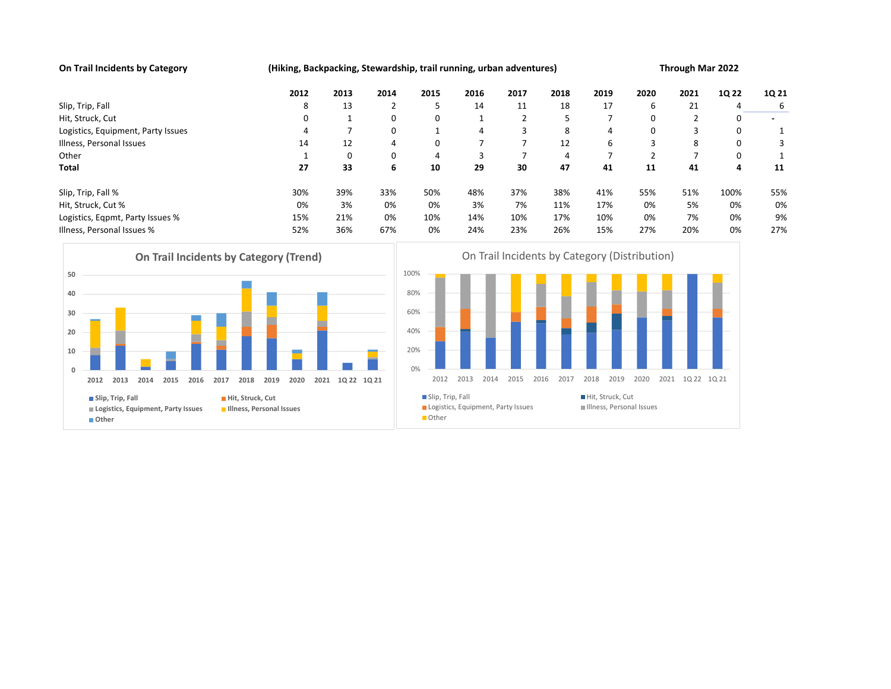On Trail Incidents by Category (Hiking, Backpacking, Stewardship, trail running, urban adventures) Through Mar 2022

|                                            |                                                                                                                                                                           | 2012                               | 2013                                               | 2014           | 2015                                                         | 2016           | 2017           | 2018 | 2019                                          | 2020           | 2021           | 1Q 22 | 1Q 21          |
|--------------------------------------------|---------------------------------------------------------------------------------------------------------------------------------------------------------------------------|------------------------------------|----------------------------------------------------|----------------|--------------------------------------------------------------|----------------|----------------|------|-----------------------------------------------|----------------|----------------|-------|----------------|
|                                            | Slip, Trip, Fall                                                                                                                                                          | 8                                  | 13                                                 | $\overline{2}$ | 5                                                            | 14             | 11             | 18   | 17                                            | 6              | 21             | 4     | 6              |
|                                            | Hit, Struck, Cut                                                                                                                                                          | 0                                  | 1                                                  | 0              | 0                                                            | 1              | 2              | 5    | $\overline{7}$                                | 0              | $\overline{2}$ | 0     | $\blacksquare$ |
|                                            | Logistics, Equipment, Party Issues                                                                                                                                        | 4                                  | $\overline{7}$                                     | 0              | 1                                                            | 4              | 3              | 8    | 4                                             | 0              | 3              | 0     | 1              |
|                                            | Illness, Personal Issues                                                                                                                                                  | 14                                 | 12                                                 | 4              | 0                                                            | $\overline{7}$ | $\overline{7}$ | 12   | 6                                             | 3              | 8              | 0     | 3              |
| Other                                      |                                                                                                                                                                           | 1                                  | $\mathbf 0$                                        | 0              | $\overline{4}$                                               | 3              | $\overline{7}$ | 4    | $\overline{7}$                                | $\overline{2}$ | $\overline{7}$ | 0     | 1              |
| <b>Total</b>                               |                                                                                                                                                                           | 27                                 | 33                                                 | 6              | 10                                                           | 29             | 30             | 47   | 41                                            | 11             | 41             | 4     | 11             |
|                                            | Slip, Trip, Fall %                                                                                                                                                        | 30%                                | 39%                                                | 33%            | 50%                                                          | 48%            | 37%            | 38%  | 41%                                           | 55%            | 51%            | 100%  | 55%            |
|                                            | Hit, Struck, Cut %                                                                                                                                                        | 0%                                 | 3%                                                 | 0%             | 0%                                                           | 3%             | 7%             | 11%  | 17%                                           | 0%             | 5%             | 0%    | 0%             |
|                                            | Logistics, Eqpmt, Party Issues %                                                                                                                                          | 15%                                | 21%                                                | 0%             | 10%                                                          | 14%            | 10%            | 17%  | 10%                                           | 0%             | 7%             | 0%    | 9%             |
|                                            | Illness, Personal Issues %                                                                                                                                                | 52%                                | 36%                                                | 67%            | 0%                                                           | 24%            | 23%            | 26%  | 15%                                           | 27%            | 20%            | 0%    | 27%            |
| 50<br>40<br>30<br>20<br>10<br>$\mathbf{0}$ | <b>On Trail Incidents by Category (Trend)</b>                                                                                                                             |                                    |                                                    |                | 100%<br>80%<br>60%<br>40%<br>20%<br>0%                       |                |                |      | On Trail Incidents by Category (Distribution) |                |                |       |                |
|                                            | 2013<br>2014<br>2015<br>2016<br>2017<br>2018<br>2012<br>Slip, Trip, Fall<br>Hit, Struck, Cut<br>Illness, Personal Issues<br>Logistics, Equipment, Party Issues<br>■ Other | 2012<br>Slip, Trip, Fall<br>■Other | 2013<br>2014<br>Logistics, Equipment, Party Issues | 2016<br>2017   | 2018<br>2019<br>Hit, Struck, Cut<br>Illness, Personal Issues | 1Q 22 1Q 21    |                |      |                                               |                |                |       |                |



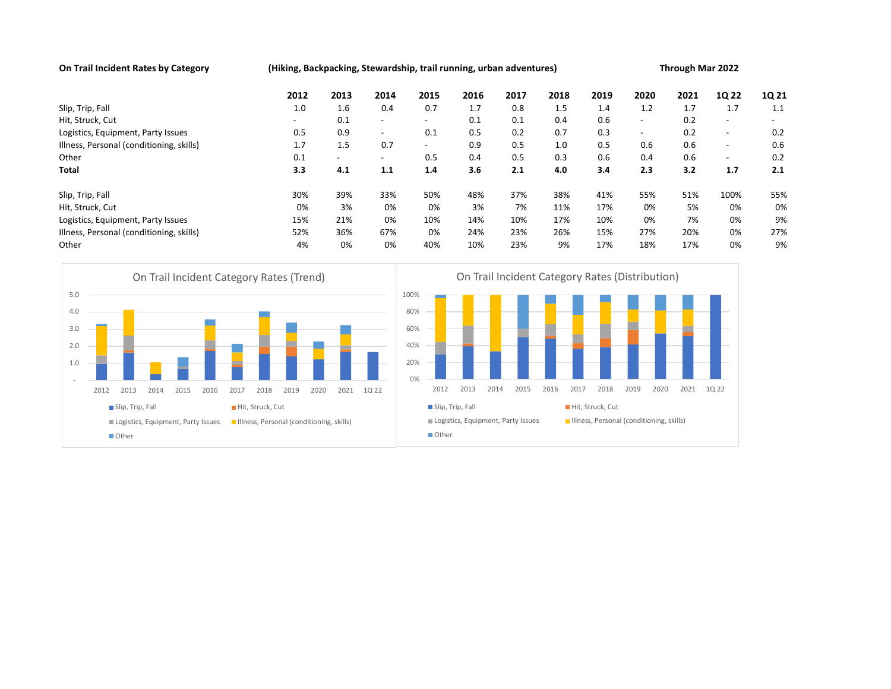On Trail Incident Rates by Category (Hiking, Backpacking, Stewardship, trail running, urban adventures) Through Mar 2022 2012 2013 2014 2015 2016 2017 2018 2019 2020 2021 1Q 22 1Q 21 Slip, Trip, Fall 1.0 1.6 0.4 0.7 1.7 0.8 1.5 1.4 1.2 1.7 1.7 1.1 Hit, Struck, Cut - 0.1 - - 0.1 0.1 0.4 0.6 - 0.2 - - Logistics, Equipment, Party Issues 0.5 0.9 - 0.1 0.5 0.2 0.7 0.3 - 0.2 - 0.2 Illness, Personal (conditioning, skills) 1.7 1.5 0.7 - 0.9 0.5 1.0 0.5 0.6 0.6 - 0.6 Other 0.1 - - 0.5 0.4 0.5 0.3 0.6 0.4 0.6 - 0.2 Total 3.3 4.1 1.1 1.4 3.6 2.1 4.0 3.4 2.3 3.2 1.7 2.1 Slip, Trip, Fall 30% 39% 33% 50% 48% 37% 38% 41% 55% 51% 100% 55% Hit, Struck, Cut 0% 3% 0% 0% 3% 7% 11% 17% 0% 5% 0% 0% Logistics, Equipment, Party Issues 15% 21% 0% 10% 14% 10% 17% 10% 0% 7% 0% 9% Illness, Personal (conditioning, skills) 52% 36% 67% 0% 24% 23% 26% 15% 27% 20% 0% 27% Other 4% 0% 0% 40% 10% 23% 9% 17% 18% 17% 0% 9% 2012 2013 2014 2015 2016 2017 2018 2019 2020 2021 1Q 22



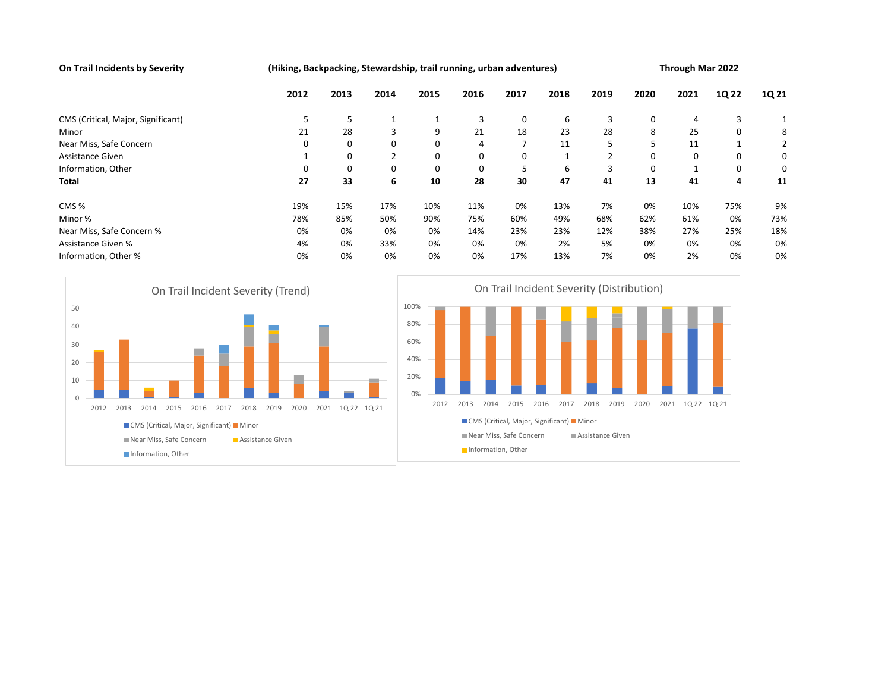On Trail Incidents by Severity (Hiking, Backpacking, Stewardship, trail running, urban adventures) Through Mar 2022

|                                                                                                                                                                                                                 | 2012                             | 2013               | 2014         | 2015                                           | 2016         | 2017                            | 2018                                                     | 2019                                                                          | 2020 | 2021           | 1Q 22 | 1Q 21 |
|-----------------------------------------------------------------------------------------------------------------------------------------------------------------------------------------------------------------|----------------------------------|--------------------|--------------|------------------------------------------------|--------------|---------------------------------|----------------------------------------------------------|-------------------------------------------------------------------------------|------|----------------|-------|-------|
| CMS (Critical, Major, Significant)                                                                                                                                                                              | 5                                | 5                  | $\mathbf{1}$ | 1                                              | 3            | 0                               | 6                                                        | 3                                                                             | 0    | 4              | 3     | 1     |
| Minor                                                                                                                                                                                                           | 21                               | 28                 | 3            | 9                                              | 21           | 18                              | 23                                                       | 28                                                                            | 8    | 25             | 0     | 8     |
| Near Miss, Safe Concern                                                                                                                                                                                         | 0                                | 0                  | 0            | $\mathbf 0$                                    | 4            | $\overline{7}$                  | 11                                                       | 5                                                                             | 5    | 11             | 1     | 2     |
| Assistance Given                                                                                                                                                                                                | 1                                | 0                  | 2            | 0                                              | 0            | 0                               | 1                                                        | 2                                                                             | 0    | 0              | 0     | 0     |
| Information, Other                                                                                                                                                                                              | $\mathbf 0$                      | $\mathbf 0$        | 0            | $\mathbf 0$                                    | $\mathbf 0$  | 5                               | 6                                                        | 3                                                                             | 0    | 1              | 0     | 0     |
| Total                                                                                                                                                                                                           | 27                               | 33                 | 6            | 10                                             | 28           | 30                              | 47                                                       | 41                                                                            | 13   | 41             | 4     | 11    |
| CMS%                                                                                                                                                                                                            | 19%                              | 15%                | 17%          | 10%                                            | 11%          | 0%                              | 13%                                                      | 7%                                                                            | 0%   | 10%            | 75%   | 9%    |
| Minor %                                                                                                                                                                                                         | 78%                              | 85%                | 50%          | 90%                                            | 75%          | 60%                             | 49%                                                      | 68%                                                                           | 62%  | 61%            | 0%    | 73%   |
| Near Miss, Safe Concern %                                                                                                                                                                                       | 0%                               | 0%                 | 14%          | 23%                                            | 23%          | 12%                             | 38%                                                      | 27%                                                                           | 25%  | 18%            |       |       |
| <b>Assistance Given %</b><br>0%<br>4%                                                                                                                                                                           |                                  |                    |              | 0%                                             | 0%           | 0%                              | 2%                                                       | 5%                                                                            | 0%   | 0%             | 0%    | 0%    |
| Information, Other %                                                                                                                                                                                            | 0%                               | 0%                 | 0%           | 0%                                             | 0%           | 17%                             | 13%                                                      | 7%                                                                            | 0%   | 2%             | 0%    | 0%    |
| On Trail Incident Severity (Trend)<br>50<br>40<br>30<br>20<br>10<br>$\mathbf{0}$<br>2012<br>2013<br>2014<br>2015<br>2016<br>2017<br>2018<br>CMS (Critical, Major, Significant) Minor<br>Near Miss, Safe Concern | 2019<br>2020<br>Assistance Given | 2021 1022 1021     |              | 100%<br>80%<br>60%<br>40%<br>20%<br>0%<br>2012 | 2013<br>2014 | 2015<br>Near Miss, Safe Concern | 2016<br>2017<br>CMS (Critical, Major, Significant) Minor | On Trail Incident Severity (Distribution)<br>2018<br>2019<br>Assistance Given | 2020 | 2021 1022 1021 |       |       |
|                                                                                                                                                                                                                 |                                  | Information, Other |              |                                                |              |                                 |                                                          |                                                                               |      |                |       |       |